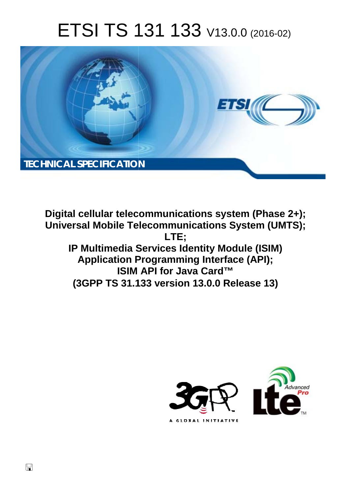# ETSI TS 131 133 V13.0.0 (2016-02)



**Digital cellular telecommunications system (Phase 2+); Universal Mobile Tel elecommunications System ( (UMTS); IP Multimedia Services Identity Module (ISIM) Application Programming Interface (API); ISIM M API for Java Card™**  Application Programming Interface (API);<br>ISIM API for Java Card™<br>(3GPP TS 31.133 version 13.0.0 Release 13) **LTE;** 



 $\Box$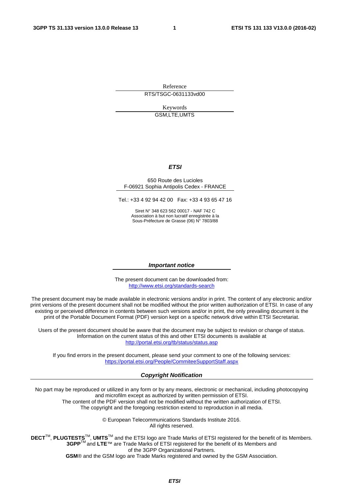Reference RTS/TSGC-0631133vd00

> Keywords GSM,LTE,UMTS

#### *ETSI*

#### 650 Route des Lucioles F-06921 Sophia Antipolis Cedex - FRANCE

Tel.: +33 4 92 94 42 00 Fax: +33 4 93 65 47 16

Siret N° 348 623 562 00017 - NAF 742 C Association à but non lucratif enregistrée à la Sous-Préfecture de Grasse (06) N° 7803/88

#### *Important notice*

The present document can be downloaded from: <http://www.etsi.org/standards-search>

The present document may be made available in electronic versions and/or in print. The content of any electronic and/or print versions of the present document shall not be modified without the prior written authorization of ETSI. In case of any existing or perceived difference in contents between such versions and/or in print, the only prevailing document is the print of the Portable Document Format (PDF) version kept on a specific network drive within ETSI Secretariat.

Users of the present document should be aware that the document may be subject to revision or change of status. Information on the current status of this and other ETSI documents is available at <http://portal.etsi.org/tb/status/status.asp>

If you find errors in the present document, please send your comment to one of the following services: <https://portal.etsi.org/People/CommiteeSupportStaff.aspx>

#### *Copyright Notification*

No part may be reproduced or utilized in any form or by any means, electronic or mechanical, including photocopying and microfilm except as authorized by written permission of ETSI.

The content of the PDF version shall not be modified without the written authorization of ETSI. The copyright and the foregoing restriction extend to reproduction in all media.

> © European Telecommunications Standards Institute 2016. All rights reserved.

**DECT**TM, **PLUGTESTS**TM, **UMTS**TM and the ETSI logo are Trade Marks of ETSI registered for the benefit of its Members. **3GPP**TM and **LTE**™ are Trade Marks of ETSI registered for the benefit of its Members and of the 3GPP Organizational Partners.

**GSM**® and the GSM logo are Trade Marks registered and owned by the GSM Association.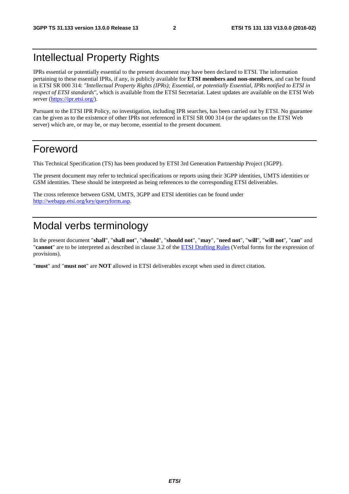### Intellectual Property Rights

IPRs essential or potentially essential to the present document may have been declared to ETSI. The information pertaining to these essential IPRs, if any, is publicly available for **ETSI members and non-members**, and can be found in ETSI SR 000 314: *"Intellectual Property Rights (IPRs); Essential, or potentially Essential, IPRs notified to ETSI in respect of ETSI standards"*, which is available from the ETSI Secretariat. Latest updates are available on the ETSI Web server [\(https://ipr.etsi.org/](https://ipr.etsi.org/)).

Pursuant to the ETSI IPR Policy, no investigation, including IPR searches, has been carried out by ETSI. No guarantee can be given as to the existence of other IPRs not referenced in ETSI SR 000 314 (or the updates on the ETSI Web server) which are, or may be, or may become, essential to the present document.

### Foreword

This Technical Specification (TS) has been produced by ETSI 3rd Generation Partnership Project (3GPP).

The present document may refer to technical specifications or reports using their 3GPP identities, UMTS identities or GSM identities. These should be interpreted as being references to the corresponding ETSI deliverables.

The cross reference between GSM, UMTS, 3GPP and ETSI identities can be found under <http://webapp.etsi.org/key/queryform.asp>.

### Modal verbs terminology

In the present document "**shall**", "**shall not**", "**should**", "**should not**", "**may**", "**need not**", "**will**", "**will not**", "**can**" and "**cannot**" are to be interpreted as described in clause 3.2 of the [ETSI Drafting Rules](http://portal.etsi.org/Help/editHelp!/Howtostart/ETSIDraftingRules.aspx) (Verbal forms for the expression of provisions).

"**must**" and "**must not**" are **NOT** allowed in ETSI deliverables except when used in direct citation.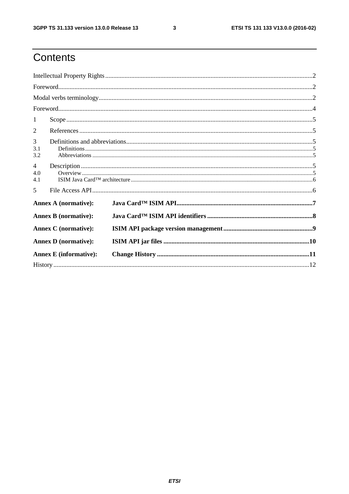$\mathbf{3}$ 

# Contents

| 1                             |  |  |  |  |  |  |
|-------------------------------|--|--|--|--|--|--|
| 2                             |  |  |  |  |  |  |
| 3<br>3.1<br>3.2               |  |  |  |  |  |  |
| $\overline{4}$<br>4.0<br>4.1  |  |  |  |  |  |  |
| 5                             |  |  |  |  |  |  |
| <b>Annex A (normative):</b>   |  |  |  |  |  |  |
| <b>Annex B</b> (normative):   |  |  |  |  |  |  |
| <b>Annex C</b> (normative):   |  |  |  |  |  |  |
| <b>Annex D</b> (normative):   |  |  |  |  |  |  |
| <b>Annex E</b> (informative): |  |  |  |  |  |  |
|                               |  |  |  |  |  |  |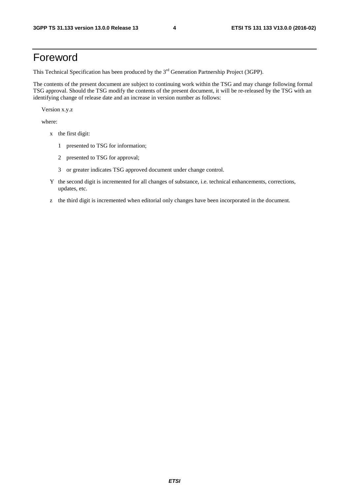### Foreword

This Technical Specification has been produced by the 3<sup>rd</sup> Generation Partnership Project (3GPP).

The contents of the present document are subject to continuing work within the TSG and may change following formal TSG approval. Should the TSG modify the contents of the present document, it will be re-released by the TSG with an identifying change of release date and an increase in version number as follows:

Version x.y.z

where:

- x the first digit:
	- 1 presented to TSG for information;
	- 2 presented to TSG for approval;
	- 3 or greater indicates TSG approved document under change control.
- Y the second digit is incremented for all changes of substance, i.e. technical enhancements, corrections, updates, etc.
- z the third digit is incremented when editorial only changes have been incorporated in the document.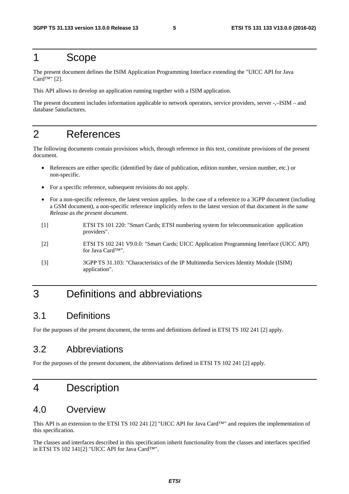### 1 Scope

The present document defines the ISIM Application Programming Interface extending the "UICC API for Java Card<sup>TM"</sup> [2].

This API allows to develop an application running together with a ISIM application.

The present document includes information applicable to network operators, service providers, server -,–ISIM – and database 5anufactures.

### 2 References

The following documents contain provisions which, through reference in this text, constitute provisions of the present document.

- References are either specific (identified by date of publication, edition number, version number, etc.) or non-specific.
- For a specific reference, subsequent revisions do not apply.
- For a non-specific reference, the latest version applies. In the case of a reference to a 3GPP document (including a GSM document), a non-specific reference implicitly refers to the latest version of that document *in the same Release as the present document*.
- [1] ETSI TS 101 220: "Smart Cards; ETSI numbering system for telecommunication application providers".
- [2] ETSI TS 102 241 V9.0.0: "Smart Cards; UICC Application Programming Interface (UICC API) for Java Card™".
- [3] 3GPP TS 31.103: "Characteristics of the IP Multimedia Services Identity Module (ISIM) application".

### 3 Definitions and abbreviations

#### 3.1 Definitions

For the purposes of the present document, the terms and definitions defined in ETSI TS 102 241 [2] apply.

#### 3.2 Abbreviations

For the purposes of the present document, the abbreviations defined in ETSI TS 102 241 [2] apply.

### 4 Description

#### 4.0 Overview

This API is an extension to the ETSI TS 102 241 [2] "UICC API for Java Card™" and requires the implementation of this specification.

The classes and interfaces described in this specification inherit functionality from the classes and interfaces specified in ETSI TS 102 141[2] "UICC API for Java Card™".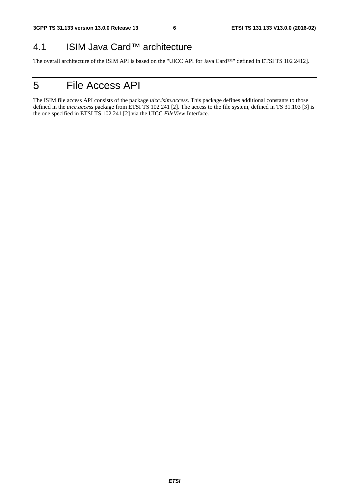### 4.1 ISIM Java Card™ architecture

The overall architecture of the ISIM API is based on the "UICC API for Java Card™" defined in ETSI TS 102 2412].

# 5 File Access API

The ISIM file access API consists of the package *uicc.isim.access*. This package defines additional constants to those defined in the *uicc.access* package from ETSI TS 102 241 [2]. The access to the file system, defined in TS 31.103 [3] is the one specified in ETSI TS 102 241 [2] via the UICC *FileView* Interface.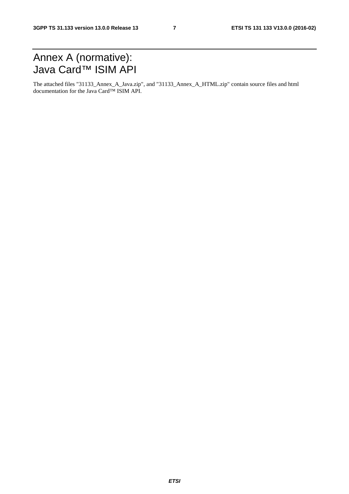### Annex A (normative): Java Card™ ISIM API

The attached files "31133\_Annex\_A\_Java.zip", and "31133\_Annex\_A\_HTML.zip" contain source files and html documentation for the Java Card™ ISIM API.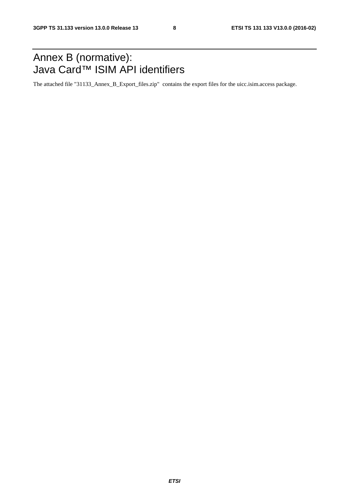### Annex B (normative): Java Card™ ISIM API identifiers

The attached file "31133\_Annex\_B\_Export\_files.zip" contains the export files for the uicc.isim.access package.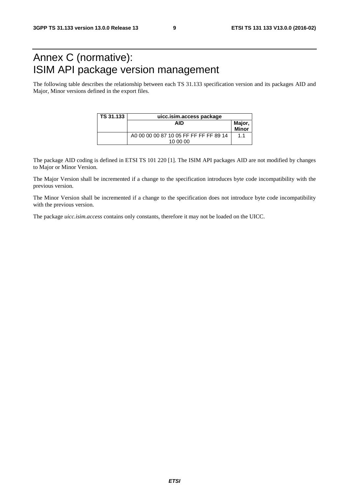## Annex C (normative): ISIM API package version management

The following table describes the relationship between each TS 31.133 specification version and its packages AID and Major, Minor versions defined in the export files.

| l TS 31.133 | uicc.isim.access package                           |                        |  |  |
|-------------|----------------------------------------------------|------------------------|--|--|
|             | AID                                                | Major,<br><b>Minor</b> |  |  |
|             | A0 00 00 00 87 10 05 FF FF FF FF 89 14<br>10 00 00 | 1.1                    |  |  |

The package AID coding is defined in ETSI TS 101 220 [1]. The ISIM API packages AID are not modified by changes to Major or Minor Version.

The Major Version shall be incremented if a change to the specification introduces byte code incompatibility with the previous version.

The Minor Version shall be incremented if a change to the specification does not introduce byte code incompatibility with the previous version.

The package *uicc.isim.access* contains only constants, therefore it may not be loaded on the UICC.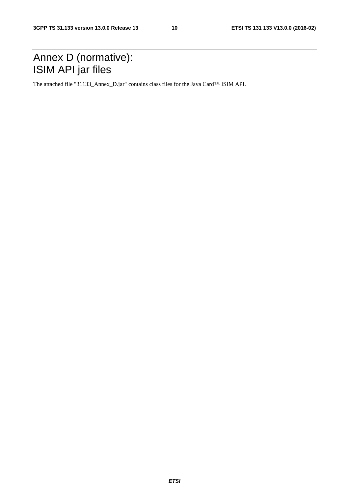### Annex D (normative): ISIM API jar files

The attached file "31133\_Annex\_D.jar" contains class files for the Java Card™ ISIM API.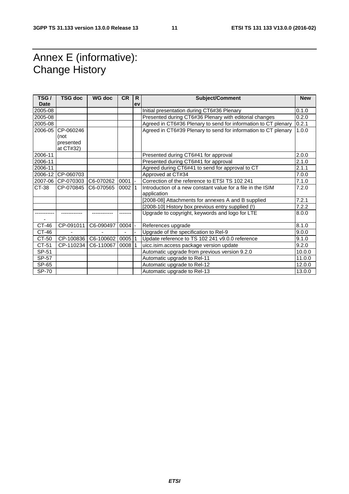### Annex E (informative): Change History

| TSG/         | <b>TSG doc</b>    | <b>WG doc</b> | <b>CR</b> | R  | <b>Subject/Comment</b>                                         | <b>New</b> |
|--------------|-------------------|---------------|-----------|----|----------------------------------------------------------------|------------|
| <b>Date</b>  |                   |               |           | ev |                                                                |            |
| 2005-08      |                   |               |           |    | Initial presentation during CT6#36 Plenary                     | 0.1.0      |
| 2005-08      |                   |               |           |    | Presented during CT6#36 Plenary with editorial changes         | 0.2.0      |
| 2005-08      |                   |               |           |    | Agreed in CT6#36 Plenary to send for information to CT plenary | 0.2.1      |
| 2006-05      | CP-060246         |               |           |    | Agreed in CT6#39 Plenary to send for information to CT plenary | 1.0.0      |
|              | (not              |               |           |    |                                                                |            |
|              | presented         |               |           |    |                                                                |            |
|              | at CT#32)         |               |           |    |                                                                |            |
| 2006-11      |                   |               |           |    | Presented during CT6#41 for approval                           | 2.0.0      |
| 2006-11      |                   |               |           |    | Presented during CT6#41 for approval                           | 2.1.0      |
| 2006-11      |                   |               |           |    | Agreed during CT6#41 to send for approval to CT                | 2.1.1      |
|              | 2006-12 CP-060703 |               |           |    | Approved at CT#34                                              | 7.0.0      |
|              | 2007-06 CP-070303 | C6-070262     | 0001      |    | Correction of the reference to ETSI TS 102 241                 | 7.1.0      |
| CT-38        | CP-070845         | C6-070565     | 0002      | 1  | Introduction of a new constant value for a file in the ISIM    | 7.2.0      |
|              |                   |               |           |    | application                                                    |            |
|              |                   |               |           |    | [2008-08] Attachments for annexes A and B supplied             | 7.2.1      |
|              |                   |               |           |    | [2008-10] History box previous entry supplied (!)              | 7.2.2      |
|              |                   |               |           |    | Upgrade to copyright, keywords and logo for LTE                | 8.0.0      |
|              |                   |               |           |    |                                                                |            |
| CT-46        | CP-091011         | C6-090497     | 0004      |    | References upgrade                                             | 8.1.0      |
| CT-46        |                   |               |           |    | Upgrade of the specification to Rel-9                          | 9.0.0      |
| CT-50        | CP-100836         | C6-100602     | 0005      |    | Update reference to TS 102 241 v9.0.0 reference                | 9.1.0      |
| CT-51        | CP-110234         | C6-110067     | 000811    |    | uicc.isim.access package version update                        | 9.2.0      |
| SP-51        |                   |               |           |    | Automatic upgrade from previous version 9.2.0                  | 10.0.0     |
| SP-57        |                   |               |           |    | Automatic upgrade to Rel-11                                    | 11.0.0     |
| SP-65        |                   |               |           |    | Automatic upgrade to Rel-12                                    | 12.0.0     |
| <b>SP-70</b> |                   |               |           |    | Automatic upgrade to Rel-13                                    | 13.0.0     |